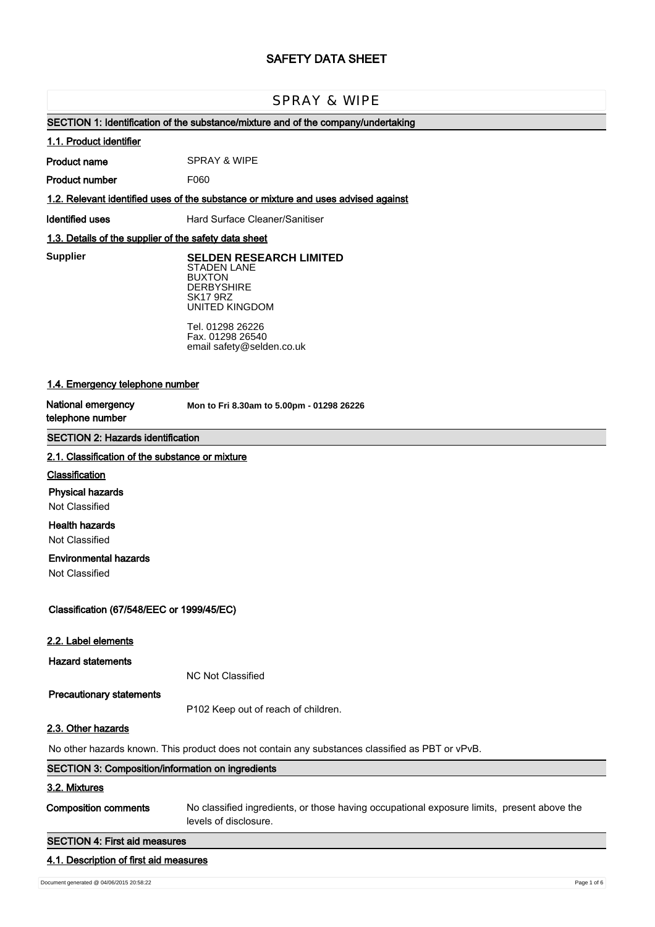# **SAFETY DATA SHEET**

# SPRAY & WIPE

# **SECTION 1: Identification of the substance/mixture and of the company/undertaking**

#### **1.1. Product identifier**

**Product name** SPRAY & WIPE

**Product number** F060

### **1.2. Relevant identified uses of the substance or mixture and uses advised against**

**Identified uses** Hard Surface Cleaner/Sanitiser

### **1.3. Details of the supplier of the safety data sheet**

**Supplier** 

**SELDEN RESEARCH LIMITED** STADEN LANE BUXTON **DERBYSHIRE** SK17 9RZ UNITED KINGDOM

Tel. 01298 26226 Fax. 01298 26540 email safety@selden.co.uk

### **1.4. Emergency telephone number**

**National emergency telephone number**

**Mon to Fri 8.30am to 5.00pm - 01298 26226**

### **SECTION 2: Hazards identification**

#### **2.1. Classification of the substance or mixture**

### **Classification**

### **Physical hazards**

Not Classified

### **Health hazards**

Not Classified

### **Environmental hazards**

Not Classified

### **Classification (67/548/EEC or 1999/45/EC)**

#### **2.2. Label elements**

**Hazard statements**

NC Not Classified

#### **Precautionary statements**

P102 Keep out of reach of children.

### **2.3. Other hazards**

No other hazards known. This product does not contain any substances classified as PBT or vPvB.

# **SECTION 3: Composition/information on ingredients 3.2. Mixtures Composition comments** No classified ingredients, or those having occupational exposure limits, present above the

levels of disclosure.

### **SECTION 4: First aid measures**

### **4.1. Description of first aid measures**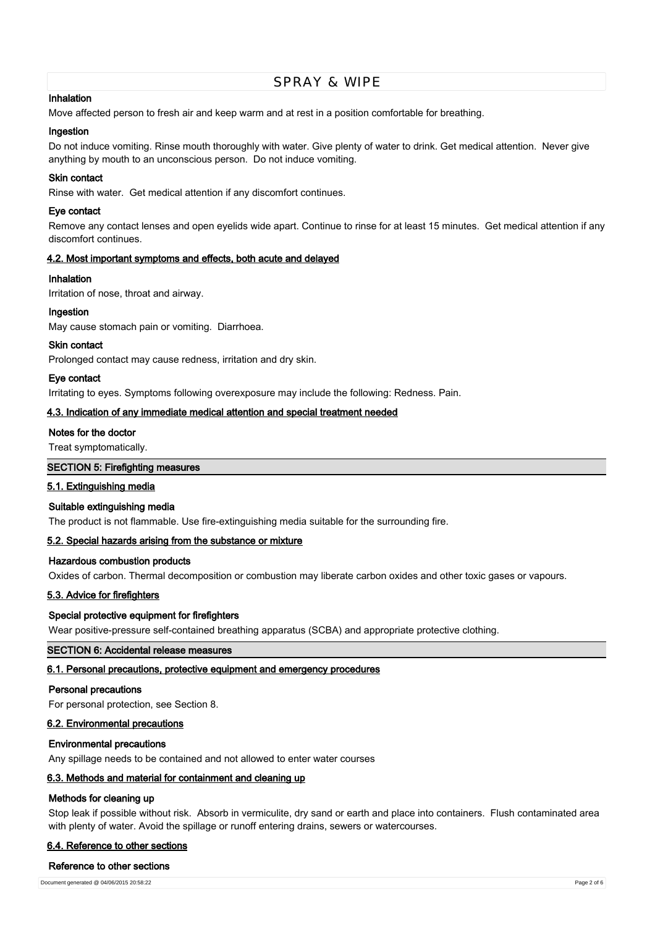### **Inhalation**

Move affected person to fresh air and keep warm and at rest in a position comfortable for breathing.

### **Ingestion**

Do not induce vomiting. Rinse mouth thoroughly with water. Give plenty of water to drink. Get medical attention. Never give anything by mouth to an unconscious person. Do not induce vomiting.

### **Skin contact**

Rinse with water. Get medical attention if any discomfort continues.

### **Eye contact**

Remove any contact lenses and open eyelids wide apart. Continue to rinse for at least 15 minutes. Get medical attention if any discomfort continues.

# **4.2. Most important symptoms and effects, both acute and delayed**

### **Inhalation**

Irritation of nose, throat and airway.

### **Ingestion**

May cause stomach pain or vomiting. Diarrhoea.

#### **Skin contact**

Prolonged contact may cause redness, irritation and dry skin.

### **Eye contact**

Irritating to eyes. Symptoms following overexposure may include the following: Redness. Pain.

### **4.3. Indication of any immediate medical attention and special treatment needed**

### **Notes for the doctor**

Treat symptomatically.

### **SECTION 5: Firefighting measures**

#### **5.1. Extinguishing media**

#### **Suitable extinguishing media**

The product is not flammable. Use fire-extinguishing media suitable for the surrounding fire.

### **5.2. Special hazards arising from the substance or mixture**

### **Hazardous combustion products**

Oxides of carbon. Thermal decomposition or combustion may liberate carbon oxides and other toxic gases or vapours.

#### **5.3. Advice for firefighters**

### **Special protective equipment for firefighters**

Wear positive-pressure self-contained breathing apparatus (SCBA) and appropriate protective clothing.

### **SECTION 6: Accidental release measures**

#### **6.1. Personal precautions, protective equipment and emergency procedures**

#### **Personal precautions**

For personal protection, see Section 8.

### **6.2. Environmental precautions**

#### **Environmental precautions**

Any spillage needs to be contained and not allowed to enter water courses

### **6.3. Methods and material for containment and cleaning up**

### **Methods for cleaning up**

Stop leak if possible without risk. Absorb in vermiculite, dry sand or earth and place into containers. Flush contaminated area with plenty of water. Avoid the spillage or runoff entering drains, sewers or watercourses.

### **6.4. Reference to other sections**

### **Reference to other sections**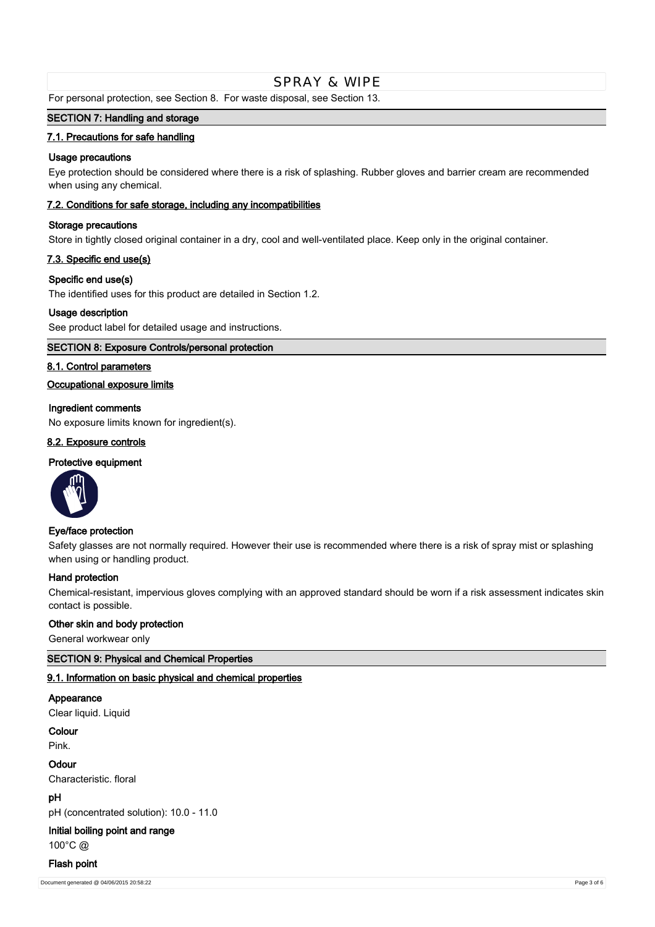For personal protection, see Section 8. For waste disposal, see Section 13.

### **SECTION 7: Handling and storage**

### **7.1. Precautions for safe handling**

### **Usage precautions**

Eye protection should be considered where there is a risk of splashing. Rubber gloves and barrier cream are recommended when using any chemical.

### **7.2. Conditions for safe storage, including any incompatibilities**

### **Storage precautions**

Store in tightly closed original container in a dry, cool and well-ventilated place. Keep only in the original container.

### **7.3. Specific end use(s)**

### **Specific end use(s)**

The identified uses for this product are detailed in Section 1.2.

### **Usage description**

See product label for detailed usage and instructions.

### **SECTION 8: Exposure Controls/personal protection**

### **8.1. Control parameters**

### **Occupational exposure limits**

### **Ingredient comments**

No exposure limits known for ingredient(s).

### **8.2. Exposure controls**

### **Protective equipment**



#### **Eye/face protection**

Safety glasses are not normally required. However their use is recommended where there is a risk of spray mist or splashing when using or handling product.

#### **Hand protection**

Chemical-resistant, impervious gloves complying with an approved standard should be worn if a risk assessment indicates skin contact is possible.

#### **Other skin and body protection**

General workwear only

### **SECTION 9: Physical and Chemical Properties**

### **9.1. Information on basic physical and chemical properties**

# **Appearance**

Clear liquid. Liquid

# **Colour**

Pink.

#### **Odour**

Characteristic. floral

### **pH**

pH (concentrated solution): 10.0 - 11.0

### **Initial boiling point and range**

100°C @

### **Flash point**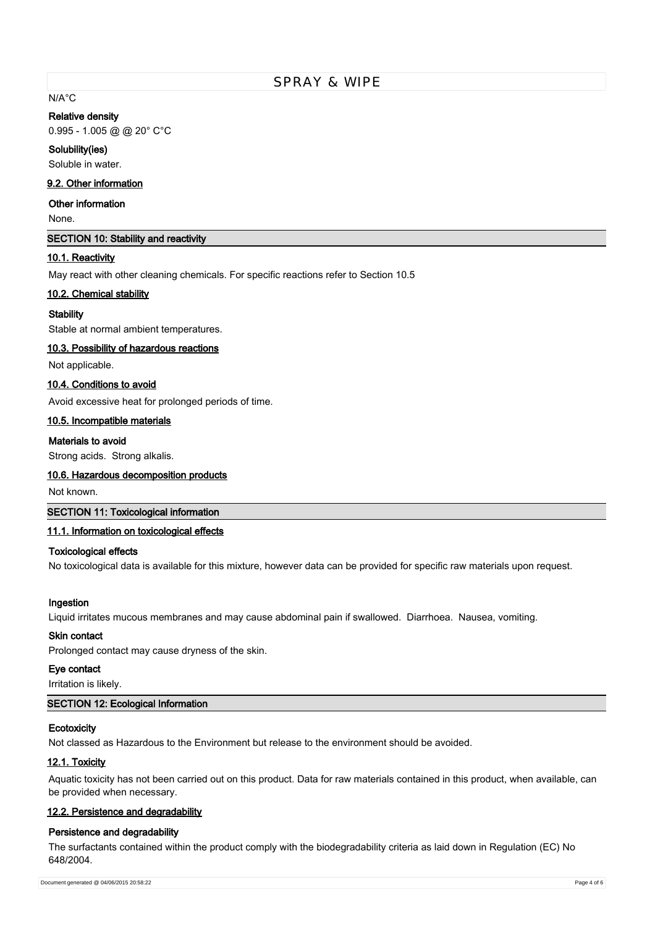# N/A°C

#### **Relative density**

0.995 - 1.005 @ @ 20° C°C

#### **Solubility(ies)**

Soluble in water.

### **9.2. Other information**

### **Other information**

None.

### **SECTION 10: Stability and reactivity**

### **10.1. Reactivity**

May react with other cleaning chemicals. For specific reactions refer to Section 10.5

#### **10.2. Chemical stability**

### **Stability**

Stable at normal ambient temperatures.

### **10.3. Possibility of hazardous reactions**

Not applicable.

### **10.4. Conditions to avoid**

Avoid excessive heat for prolonged periods of time.

#### **10.5. Incompatible materials**

### **Materials to avoid**

Strong acids. Strong alkalis.

### **10.6. Hazardous decomposition products**

Not known.

### **SECTION 11: Toxicological information**

### **11.1. Information on toxicological effects**

### **Toxicological effects**

No toxicological data is available for this mixture, however data can be provided for specific raw materials upon request.

#### **Ingestion**

Liquid irritates mucous membranes and may cause abdominal pain if swallowed. Diarrhoea. Nausea, vomiting.

### **Skin contact**

Prolonged contact may cause dryness of the skin.

### **Eye contact**

Irritation is likely.

### **SECTION 12: Ecological Information**

### **Ecotoxicity**

Not classed as Hazardous to the Environment but release to the environment should be avoided.

### **12.1. Toxicity**

Aquatic toxicity has not been carried out on this product. Data for raw materials contained in this product, when available, can be provided when necessary.

### **12.2. Persistence and degradability**

#### **Persistence and degradability**

The surfactants contained within the product comply with the biodegradability criteria as laid down in Regulation (EC) No 648/2004.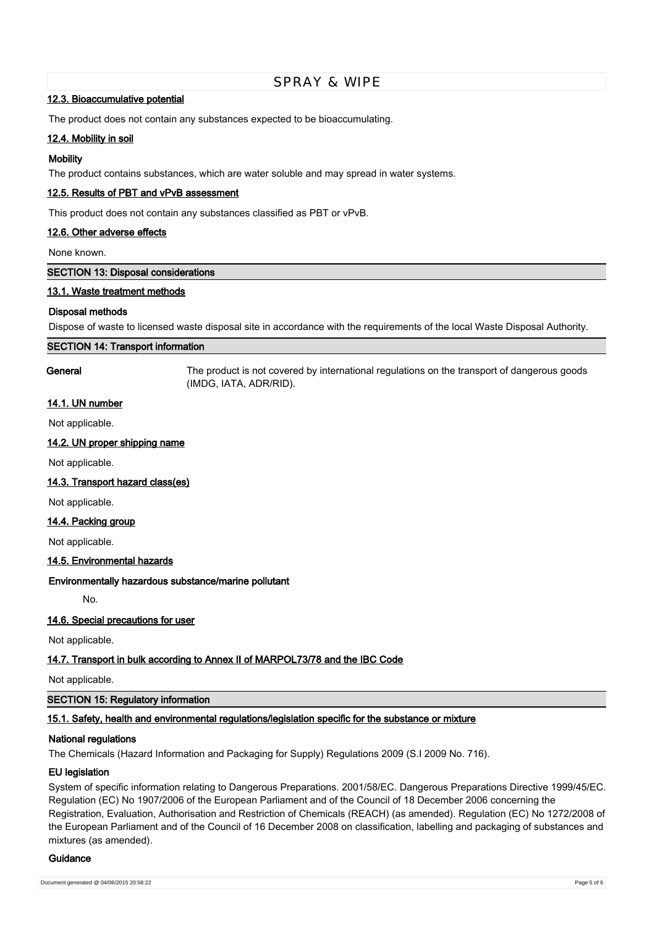### **12.3. Bioaccumulative potential**

The product does not contain any substances expected to be bioaccumulating.

### **12.4. Mobility in soil**

### **Mobility**

The product contains substances, which are water soluble and may spread in water systems.

### **12.5. Results of PBT and vPvB assessment**

This product does not contain any substances classified as PBT or vPvB.

### **12.6. Other adverse effects**

None known.

**SECTION 13: Disposal considerations**

### **13.1. Waste treatment methods**

### **Disposal methods**

Dispose of waste to licensed waste disposal site in accordance with the requirements of the local Waste Disposal Authority.

#### **SECTION 14: Transport information**

**General** The product is not covered by international regulations on the transport of dangerous goods (IMDG, IATA, ADR/RID).

# **14.1. UN number**

Not applicable.

### **14.2. UN proper shipping name**

Not applicable.

### **14.3. Transport hazard class(es)**

Not applicable.

#### **14.4. Packing group**

Not applicable.

#### **14.5. Environmental hazards**

#### **Environmentally hazardous substance/marine pollutant**

No.

### **14.6. Special precautions for user**

Not applicable.

### **14.7. Transport in bulk according to Annex II of MARPOL73/78 and the IBC Code**

Not applicable.

### **SECTION 15: Regulatory information**

### **15.1. Safety, health and environmental regulations/legislation specific for the substance or mixture**

### **National regulations**

The Chemicals (Hazard Information and Packaging for Supply) Regulations 2009 (S.I 2009 No. 716).

#### **EU legislation**

System of specific information relating to Dangerous Preparations. 2001/58/EC. Dangerous Preparations Directive 1999/45/EC. Regulation (EC) No 1907/2006 of the European Parliament and of the Council of 18 December 2006 concerning the Registration, Evaluation, Authorisation and Restriction of Chemicals (REACH) (as amended). Regulation (EC) No 1272/2008 of the European Parliament and of the Council of 16 December 2008 on classification, labelling and packaging of substances and mixtures (as amended).

#### **Guidance**